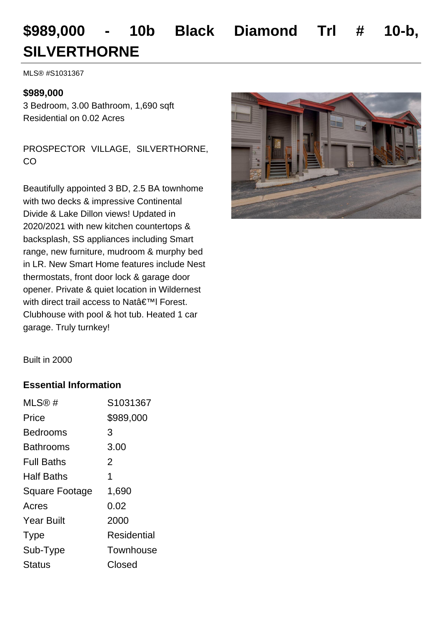# **\$989,000 - 10b Black Diamond Trl # 10-b, SILVERTHORNE**

MLS® #S1031367

### **\$989,000**

3 Bedroom, 3.00 Bathroom, 1,690 sqft Residential on 0.02 Acres

PROSPECTOR VILLAGE, SILVERTHORNE, CO

Beautifully appointed 3 BD, 2.5 BA townhome with two decks & impressive Continental Divide & Lake Dillon views! Updated in 2020/2021 with new kitchen countertops & backsplash, SS appliances including Smart range, new furniture, mudroom & murphy bed in LR. New Smart Home features include Nest thermostats, front door lock & garage door opener. Private & quiet location in Wildernest with direct trail access to Nat'I Forest. Clubhouse with pool & hot tub. Heated 1 car garage. Truly turnkey!



Built in 2000

#### **Essential Information**

| MLS@#                 | S1031367    |
|-----------------------|-------------|
| Price                 | \$989,000   |
| Bedrooms              | 3           |
| Bathrooms             | 3.00        |
| <b>Full Baths</b>     | 2           |
| <b>Half Baths</b>     | 1           |
| <b>Square Footage</b> | 1,690       |
| Acres                 | 0.02        |
| <b>Year Built</b>     | 2000        |
| <b>Type</b>           | Residential |
| Sub-Type              | Townhouse   |
| <b>Status</b>         | Closed      |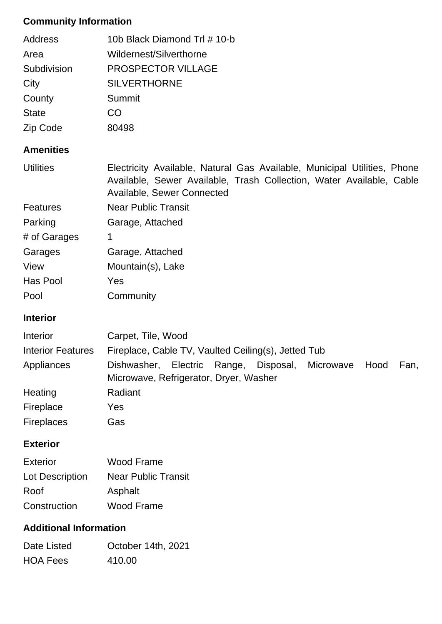## **Community Information**

| <b>Address</b>           | 10b Black Diamond Trl # 10-b                                                                                                                                                   |  |
|--------------------------|--------------------------------------------------------------------------------------------------------------------------------------------------------------------------------|--|
| Area                     | Wildernest/Silverthorne                                                                                                                                                        |  |
| Subdivision              | PROSPECTOR VILLAGE                                                                                                                                                             |  |
| City                     | <b>SILVERTHORNE</b>                                                                                                                                                            |  |
| County                   | Summit                                                                                                                                                                         |  |
| <b>State</b>             | CO                                                                                                                                                                             |  |
| Zip Code                 | 80498                                                                                                                                                                          |  |
| <b>Amenities</b>         |                                                                                                                                                                                |  |
| <b>Utilities</b>         | Electricity Available, Natural Gas Available, Municipal Utilities, Phone<br>Available, Sewer Available, Trash Collection, Water Available, Cable<br>Available, Sewer Connected |  |
| <b>Features</b>          | <b>Near Public Transit</b>                                                                                                                                                     |  |
| Parking                  | Garage, Attached                                                                                                                                                               |  |
| # of Garages             | 1                                                                                                                                                                              |  |
| Garages                  | Garage, Attached                                                                                                                                                               |  |
| View                     | Mountain(s), Lake                                                                                                                                                              |  |
| Has Pool                 | Yes                                                                                                                                                                            |  |
| Pool                     | Community                                                                                                                                                                      |  |
| <b>Interior</b>          |                                                                                                                                                                                |  |
| Interior                 | Carpet, Tile, Wood                                                                                                                                                             |  |
| <b>Interior Features</b> | Fireplace, Cable TV, Vaulted Ceiling(s), Jetted Tub                                                                                                                            |  |
| Annlianoon               | Diebweeber Electric Denge Diepeeel Microweys Heed<br>Eon.                                                                                                                      |  |

| Appliances        | Dishwasher, Electric Range, Disposal, Microwave Hood |  |  | Fan, |
|-------------------|------------------------------------------------------|--|--|------|
|                   | Microwave, Refrigerator, Dryer, Washer               |  |  |      |
| Heating           | Radiant                                              |  |  |      |
| Fireplace         | Yes                                                  |  |  |      |
| <b>Fireplaces</b> | Gas                                                  |  |  |      |

## **Exterior**

| Exterior        | Wood Frame                 |
|-----------------|----------------------------|
| Lot Description | <b>Near Public Transit</b> |
| Roof            | Asphalt                    |
| Construction    | Wood Frame                 |

## **Additional Information**

| Date Listed     | October 14th, 2021 |
|-----------------|--------------------|
| <b>HOA Fees</b> | 410.00             |